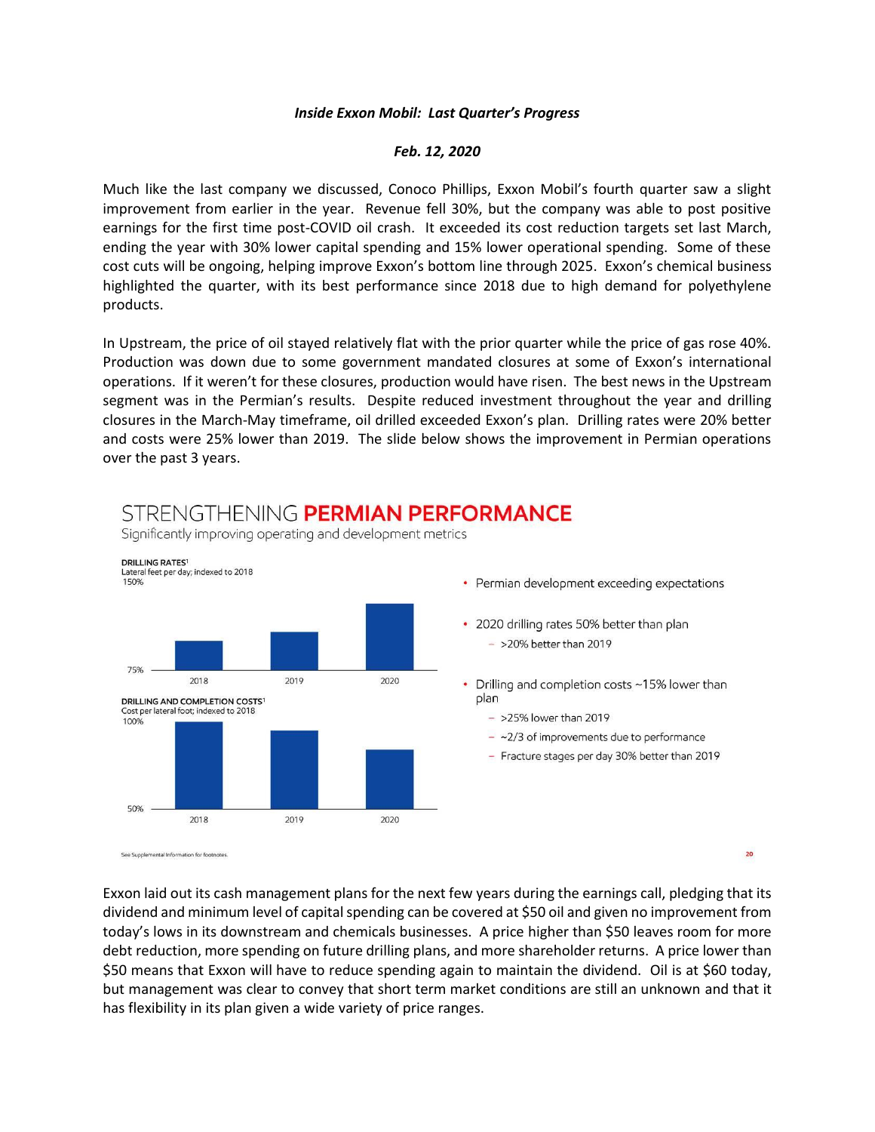## *Inside Exxon Mobil: Last Quarter's Progress*

## *Feb. 12, 2020*

Much like the last company we discussed, Conoco Phillips, Exxon Mobil's fourth quarter saw a slight improvement from earlier in the year. Revenue fell 30%, but the company was able to post positive earnings for the first time post-COVID oil crash. It exceeded its cost reduction targets set last March, ending the year with 30% lower capital spending and 15% lower operational spending. Some of these cost cuts will be ongoing, helping improve Exxon's bottom line through 2025. Exxon's chemical business highlighted the quarter, with its best performance since 2018 due to high demand for polyethylene products.

In Upstream, the price of oil stayed relatively flat with the prior quarter while the price of gas rose 40%. Production was down due to some government mandated closures at some of Exxon's international operations. If it weren't for these closures, production would have risen. The best news in the Upstream segment was in the Permian's results. Despite reduced investment throughout the year and drilling closures in the March-May timeframe, oil drilled exceeded Exxon's plan. Drilling rates were 20% better and costs were 25% lower than 2019. The slide below shows the improvement in Permian operations over the past 3 years.



Exxon laid out its cash management plans for the next few years during the earnings call, pledging that its dividend and minimum level of capital spending can be covered at \$50 oil and given no improvement from today's lows in its downstream and chemicals businesses. A price higher than \$50 leaves room for more debt reduction, more spending on future drilling plans, and more shareholder returns. A price lower than \$50 means that Exxon will have to reduce spending again to maintain the dividend. Oil is at \$60 today, but management was clear to convey that short term market conditions are still an unknown and that it has flexibility in its plan given a wide variety of price ranges.